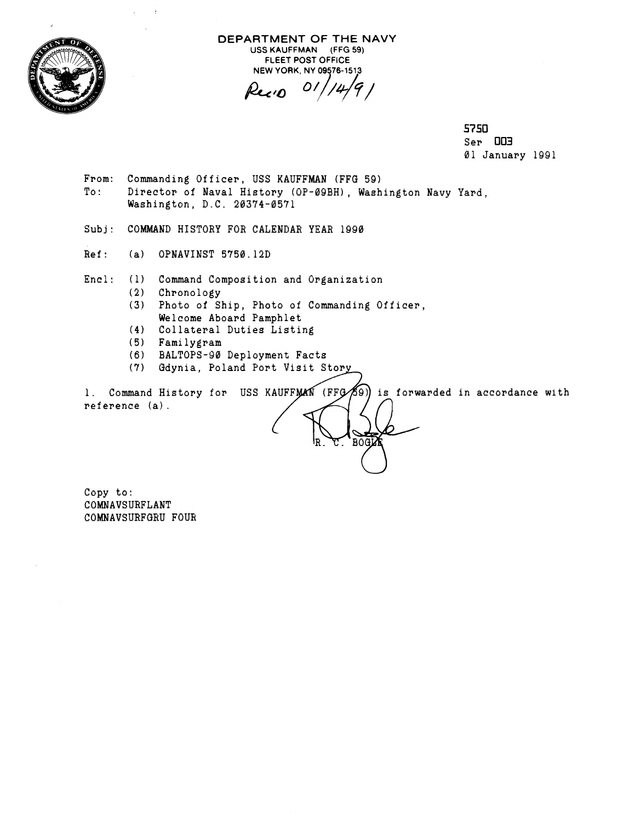

**DEPARTMENT OF THE NAVY USS KAUFFMAN (FFG 59) FLEET POST OFFICE** 

NEW YORK, NY 09576-1513<br>**Pec:0** 01/14/9 /

**5750**  Ser **003**  01 January 1991

- From: Commanding Officer, USS KAUFFMAN (FFG 59) To: Director of Naval History (OP-09BH), Washington Navy Yard, Washington, D.C. 20374-0571
- Subj: COMMAND HISTORY FOR CALENDAR YEAR 1990
- Ref: (a) OPNAVINST 5750.12D

 $\ddot{\cdot}$  $\ddot{\phantom{0}}$ 

Enc!: (1) Command Composition and Organization

- (2) Chronology
- 3 Photo of Ship, Photo of Commanding Officer, Welcome Aboard Pamphlet
- **(41** Collateral Duties Listing
- **IS)** Familygram
- (6) BALTOPS-90 Deployment Facts
- **(7)** Gdynia, Poland Port Visit

1. Command History for USS KAUFFMAN (FFG 69) is forwarded in accordance with  $reference (a)$ .

**BOGN** 

Copy to: COMNAVSURFLANT COMNAVSURFGRU FOUR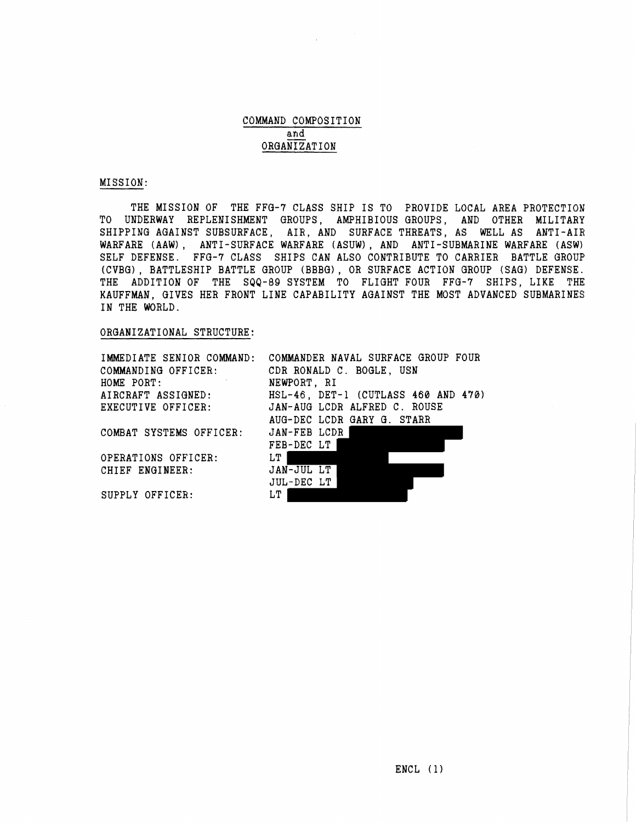## COMMAND COMPOSITION **ah** d ORGANIZATION

## MISSION:

THE MISSION OF THE FFG-7 CLASS SHIP IS TO PROVIDE LOCAL AREA PROTECTION TO UNDERWAY REPLENISHMENT GROUPS, AMPHIBIOUS GROUPS, AND OTHER MILITARY SHIPPING AGAINST SUBSURFACE, AIR, AND SURFACE THREATS, AS WELL AS ANTI-AIR WARFARE (AAW) , ANTI-SURFACE WARFARE (ASUW) , AND ANTI-SUBMARINE WARFARE (ASW) SELF DEFENSE. FFG-7 CLASS SHIPS CAN ALSO CONTRIBUTE TO CARRIER BATTLE GROUP (CVBG), BATTLESHIP BATTLE GROUP (BBBG), OR SURFACE ACTION GROUP (SAG) DEFENSE. THE ADDITION OF THE SQQ-89 gYSTEM TO FLIGHT FOUR FFG-7 SHIPS, LIKE THE KAUFFMAN, GIVES HER FRONT LINE CAPABILITY AGAINST THE MOST ADVANCED SUBMARINES IN THE WORLD.

## ORGANIZATIONAL STRUCTURE:

IMMEDIATE SENIOR COMMAND: COMMANDING OFFICER: HOME PORT: AIRCRAFT ASSIGNED : EXECUTIVE OFFICER:

COMBAT SYSTEMS OFFICER:

OPERATIONS OFFICER: CHIEF ENGINEER:

SUPPLY OFFICER:

COMMANDER NAVAL SURFACE GROUP FOUR CDR RONALD C. BOGLE, USN NEWPORT, RI HSL-46, DET-1 (CUTLASS 460 AND 470) JAN-AUG LCDR ALFRED C. ROUSE AUG-DEC LCDR GARY G. STARR JAN-FEB LCDR FEB-DEC LT LT | JAN-JUL LT JUL-DEC LT LT |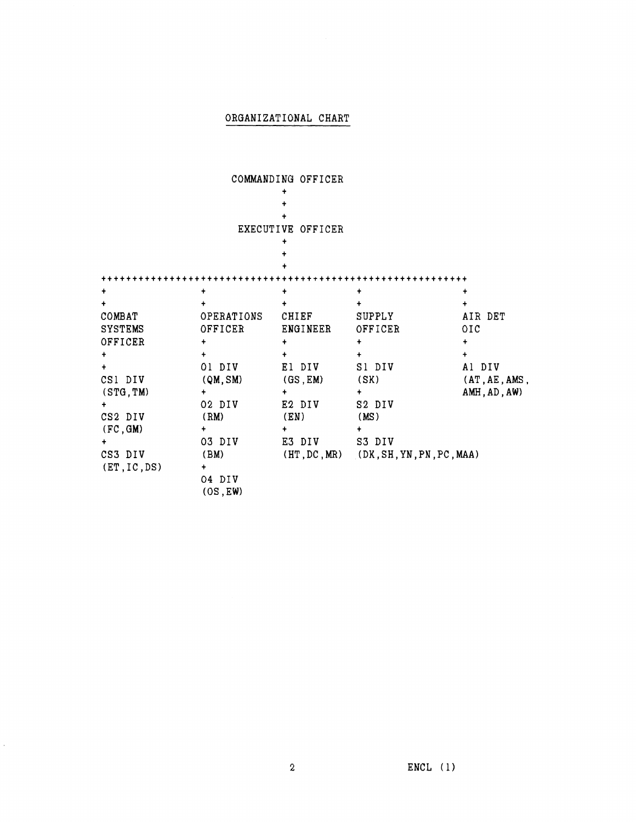## ORGANIZATIONAL CHART

COMMANDING OFFICER

|                | EXECUTIVE          | OFFICER         |                                            |                 |
|----------------|--------------------|-----------------|--------------------------------------------|-----------------|
|                |                    |                 |                                            |                 |
|                |                    |                 |                                            |                 |
|                |                    |                 |                                            |                 |
| $\ddot{}$      |                    |                 |                                            |                 |
|                |                    |                 |                                            |                 |
| COMBAT         | OPERATIONS         | CHIEF           | <b>SUPPLY</b>                              | AIR DET         |
| <b>SYSTEMS</b> | OFFICER            | <b>ENGINEER</b> | OFFICER                                    | $_{\text{OIC}}$ |
| OFFICER        | +                  |                 |                                            | ÷               |
| ۰              | $\ddotmark$        |                 | ۰                                          | $\ddot{}$       |
|                | 01 DIV             | El DIV          | S1 DIV                                     | Al DIV          |
| CS1 DIV        | (QM, SM)           | (GS, EM)        | (SK)                                       | (AT, AE, AMS,   |
| (STG, TM)      | ÷                  | ٠               |                                            | AMH, AD, AW)    |
|                | 02 DIV             | E2 DIV          | S2 DIV                                     |                 |
| CS2 DIV        | (RM)               | (EN)            | (MS)                                       |                 |
| (FC, GM)       | ٠                  |                 |                                            |                 |
|                | 03 DIV             | E3 DIV          | S3 DIV                                     |                 |
| CS3 DIV        | (BM)               |                 | $(HT, DC, MR)$ $(DK, SH, YN, PN, PC, MAA)$ |                 |
| (ET, IC, DS)   | ٠                  |                 |                                            |                 |
|                | 04 DIV<br>(OS, EW) |                 |                                            |                 |

 $\hat{\mathcal{A}}$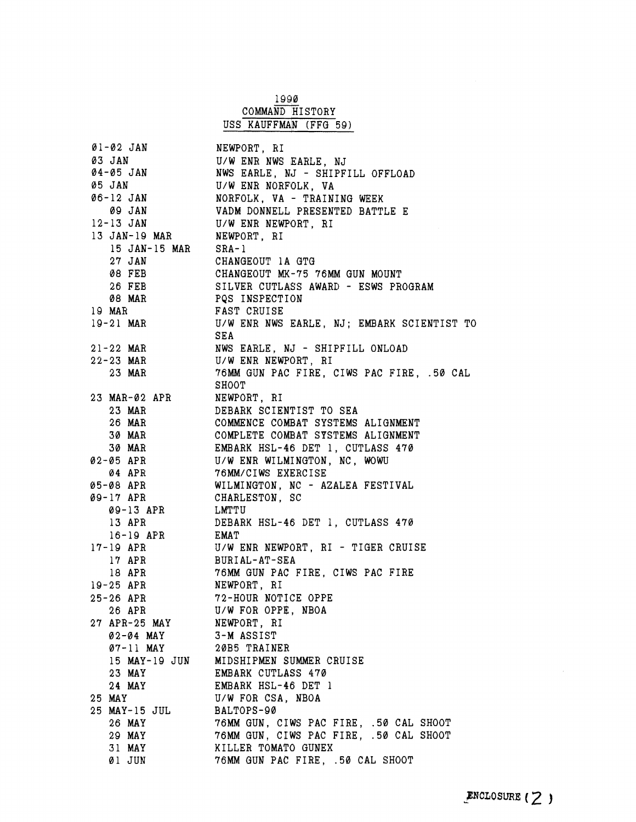|                           | 1990                                                                                                                                                        |
|---------------------------|-------------------------------------------------------------------------------------------------------------------------------------------------------------|
|                           | COMMAND HISTORY                                                                                                                                             |
|                           | USS KAUFFMAN (FFG 59)                                                                                                                                       |
|                           |                                                                                                                                                             |
| Øl-Ø2 JAN NEWPORT, RI     |                                                                                                                                                             |
|                           | 03 JAN U/W ENR NWS EARLE, NJ<br>04-05 JAN NWS EARLE, NJ - SHIPFILL OFFLOAD                                                                                  |
|                           |                                                                                                                                                             |
|                           |                                                                                                                                                             |
|                           | 05 JAN U/W ENR NORFOLK, VA 66-12 JAN NORFOLK, VA - TRAINING WEEK                                                                                            |
|                           | 09 JAN VADM DONNELL PRESENTED BATTLE E                                                                                                                      |
|                           |                                                                                                                                                             |
|                           | 12-13 JAN U/W ENR NEWPORT, RI                                                                                                                               |
| 13 JAN-19 MAR NEWPORT, RI |                                                                                                                                                             |
| $15$ JAN-15 MAR SRA-1     |                                                                                                                                                             |
|                           | 27 JAN CHANGEOUT 1A GTG<br>08 FEB CHANGEOUT MK-75 76MM GUN MOUNT                                                                                            |
|                           |                                                                                                                                                             |
|                           |                                                                                                                                                             |
|                           |                                                                                                                                                             |
|                           | 26 FEB<br>26 FEB SILVER CUTLASS AWARD - ESWS PROGRAM<br>39 MAR PQS INSPECTION<br>19 MAR FAST CRUISE<br>19-21 MAR U/W ENR NWS EARLE, NJ; EMBARK SCIENTIST TO |
|                           |                                                                                                                                                             |
|                           | SEA                                                                                                                                                         |
|                           | 21-22 MAR NWS EARLE, NJ - SHIPFILL ONLOAD                                                                                                                   |
|                           | 22-23 MAR<br>23 MAR U/W ENR NEWPORT, RI<br>23 MAR 76MM GUN PAC FIRE, CIWS PAC FIRE, .50 CAL                                                                 |
|                           |                                                                                                                                                             |
|                           | SHOOT                                                                                                                                                       |
| 23 MAR-02 APR NEWPORT, RI |                                                                                                                                                             |
|                           | 23 MAR DEBARK SCIENTIST TO SEA                                                                                                                              |
|                           | 26 MAR COMMENCE COMBAT SYSTEMS ALIGNMENT                                                                                                                    |
|                           |                                                                                                                                                             |
|                           | 30 MAR COMPLETE COMBAT SYSTEMS ALIGNMENT<br>30 MAR EMBARK HSL-46 DET 1, CUTLASS 470<br>02-05 APR U/W ENR WILMINGTON, NC, WOWU                               |
|                           |                                                                                                                                                             |
|                           |                                                                                                                                                             |
|                           | 04 APR 76MM/CIWS EXERCISE                                                                                                                                   |
|                           | 05-08 APR WILMINGTON, NC - AZALEA FESTIVAL                                                                                                                  |
| 09-17 APR CHARLESTON, SC  |                                                                                                                                                             |
| 09-13 APR LMTTU           |                                                                                                                                                             |
|                           | 13 APR DEBARK HSL-46 DET 1, CUTLASS 470                                                                                                                     |
|                           | 16-19 APR EMAT<br>17-19 APR U/W ENR NEWPORT, RI - TIGER CRUISE                                                                                              |
|                           |                                                                                                                                                             |
| 17 APR                    | BURIAL-AT-SEA                                                                                                                                               |
| 18 APR                    | 76MM GUN PAC FIRE, CIWS PAC FIRE                                                                                                                            |
| $19 - 25$ APR             | NEWPORT, RI                                                                                                                                                 |
| $25 - 26$ APR             | 72-HOUR NOTICE OPPE                                                                                                                                         |
| 26 APR                    | U/W FOR OPPE, NBOA                                                                                                                                          |
| 27 APR-25 MAY NEWPORT, RI |                                                                                                                                                             |
| 02-04 MAY 3-M ASSIST      |                                                                                                                                                             |
| 07-11 MAY 20B5 TRAINER    |                                                                                                                                                             |
|                           | 15 MAY-19 JUN MIDSHIPMEN SUMMER CRUISE                                                                                                                      |
| 23 MAY                    | <b>EMBARK CUTLASS 470</b>                                                                                                                                   |
| 24 MAY                    | EMBARK HSL-46 DET 1                                                                                                                                         |
| 25 MAY                    | U/W FOR CSA, NBOA                                                                                                                                           |
| 25 MAY-15 JUL             | BALTOPS-90                                                                                                                                                  |
| 26 MAY                    | 76MM GUN, CIWS PAC FIRE, .50 CAL SHOOT                                                                                                                      |
| 29 MAY                    | 76MM GUN, CIWS PAC FIRE, .50 CAL SHOOT                                                                                                                      |
|                           |                                                                                                                                                             |
| 31 MAY                    | KILLER TOMATO GUNEX                                                                                                                                         |
| 01 JUN                    | 76MM GUN PAC FIRE, .50 CAL SHOOT                                                                                                                            |

 $\frac{1}{2} \left( \frac{1}{2} \right) \frac{1}{2}$